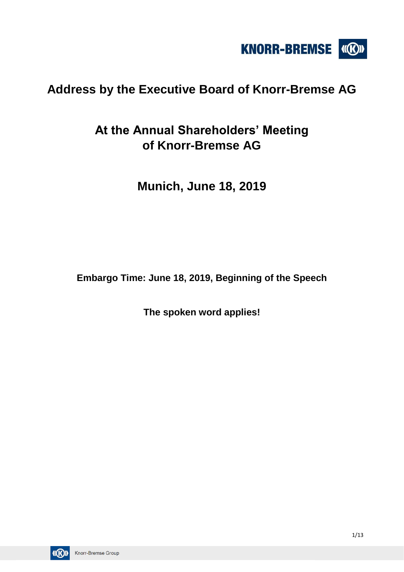

## **Address by the Executive Board of Knorr-Bremse AG**

# **At the Annual Shareholders' Meeting of Knorr-Bremse AG**

**Munich, June 18, 2019**

**Embargo Time: June 18, 2019, Beginning of the Speech**

**The spoken word applies!**

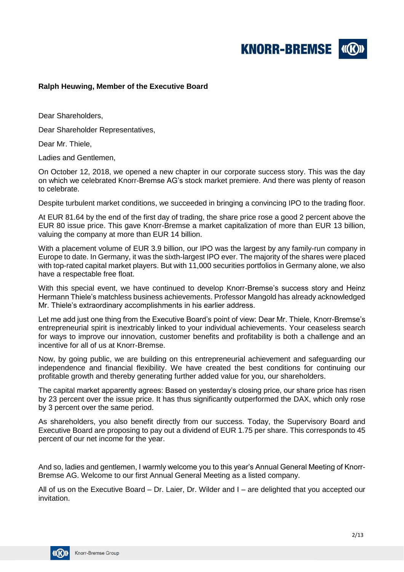**KNORR-BREMSE** 

### **Ralph Heuwing, Member of the Executive Board**

Dear Shareholders,

Dear Shareholder Representatives,

Dear Mr. Thiele,

Ladies and Gentlemen,

On October 12, 2018, we opened a new chapter in our corporate success story. This was the day on which we celebrated Knorr-Bremse AG's stock market premiere. And there was plenty of reason to celebrate.

Despite turbulent market conditions, we succeeded in bringing a convincing IPO to the trading floor.

At EUR 81.64 by the end of the first day of trading, the share price rose a good 2 percent above the EUR 80 issue price. This gave Knorr-Bremse a market capitalization of more than EUR 13 billion, valuing the company at more than EUR 14 billion.

With a placement volume of EUR 3.9 billion, our IPO was the largest by any family-run company in Europe to date. In Germany, it was the sixth-largest IPO ever. The majority of the shares were placed with top-rated capital market players. But with 11,000 securities portfolios in Germany alone, we also have a respectable free float.

With this special event, we have continued to develop Knorr-Bremse's success story and Heinz Hermann Thiele's matchless business achievements. Professor Mangold has already acknowledged Mr. Thiele's extraordinary accomplishments in his earlier address.

Let me add just one thing from the Executive Board's point of view: Dear Mr. Thiele, Knorr-Bremse's entrepreneurial spirit is inextricably linked to your individual achievements. Your ceaseless search for ways to improve our innovation, customer benefits and profitability is both a challenge and an incentive for all of us at Knorr-Bremse.

Now, by going public, we are building on this entrepreneurial achievement and safeguarding our independence and financial flexibility. We have created the best conditions for continuing our profitable growth and thereby generating further added value for you, our shareholders.

The capital market apparently agrees: Based on yesterday's closing price, our share price has risen by 23 percent over the issue price. It has thus significantly outperformed the DAX, which only rose by 3 percent over the same period.

As shareholders, you also benefit directly from our success. Today, the Supervisory Board and Executive Board are proposing to pay out a dividend of EUR 1.75 per share. This corresponds to 45 percent of our net income for the year.

And so, ladies and gentlemen, I warmly welcome you to this year's Annual General Meeting of Knorr-Bremse AG. Welcome to our first Annual General Meeting as a listed company.

All of us on the Executive Board – Dr. Laier, Dr. Wilder and I – are delighted that you accepted our invitation.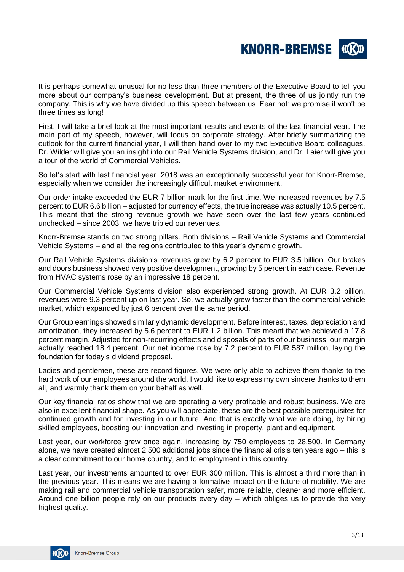

It is perhaps somewhat unusual for no less than three members of the Executive Board to tell you more about our company's business development. But at present, the three of us jointly run the company. This is why we have divided up this speech between us. Fear not: we promise it won't be three times as long!

First, I will take a brief look at the most important results and events of the last financial year. The main part of my speech, however, will focus on corporate strategy. After briefly summarizing the outlook for the current financial year, I will then hand over to my two Executive Board colleagues. Dr. Wilder will give you an insight into our Rail Vehicle Systems division, and Dr. Laier will give you a tour of the world of Commercial Vehicles.

So let's start with last financial year. 2018 was an exceptionally successful year for Knorr-Bremse, especially when we consider the increasingly difficult market environment.

Our order intake exceeded the EUR 7 billion mark for the first time. We increased revenues by 7.5 percent to EUR 6.6 billion – adjusted for currency effects, the true increase was actually 10.5 percent. This meant that the strong revenue growth we have seen over the last few years continued unchecked – since 2003, we have tripled our revenues.

Knorr-Bremse stands on two strong pillars. Both divisions – Rail Vehicle Systems and Commercial Vehicle Systems – and all the regions contributed to this year's dynamic growth.

Our Rail Vehicle Systems division's revenues grew by 6.2 percent to EUR 3.5 billion. Our brakes and doors business showed very positive development, growing by 5 percent in each case. Revenue from HVAC systems rose by an impressive 18 percent.

Our Commercial Vehicle Systems division also experienced strong growth. At EUR 3.2 billion, revenues were 9.3 percent up on last year. So, we actually grew faster than the commercial vehicle market, which expanded by just 6 percent over the same period.

Our Group earnings showed similarly dynamic development. Before interest, taxes, depreciation and amortization, they increased by 5.6 percent to EUR 1.2 billion. This meant that we achieved a 17.8 percent margin. Adjusted for non-recurring effects and disposals of parts of our business, our margin actually reached 18.4 percent. Our net income rose by 7.2 percent to EUR 587 million, laying the foundation for today's dividend proposal.

Ladies and gentlemen, these are record figures. We were only able to achieve them thanks to the hard work of our employees around the world. I would like to express my own sincere thanks to them all, and warmly thank them on your behalf as well.

Our key financial ratios show that we are operating a very profitable and robust business. We are also in excellent financial shape. As you will appreciate, these are the best possible prerequisites for continued growth and for investing in our future. And that is exactly what we are doing, by hiring skilled employees, boosting our innovation and investing in property, plant and equipment.

Last year, our workforce grew once again, increasing by 750 employees to 28,500. In Germany alone, we have created almost 2,500 additional jobs since the financial crisis ten years ago – this is a clear commitment to our home country, and to employment in this country.

Last year, our investments amounted to over EUR 300 million. This is almost a third more than in the previous year. This means we are having a formative impact on the future of mobility. We are making rail and commercial vehicle transportation safer, more reliable, cleaner and more efficient. Around one billion people rely on our products every day – which obliges us to provide the very highest quality.

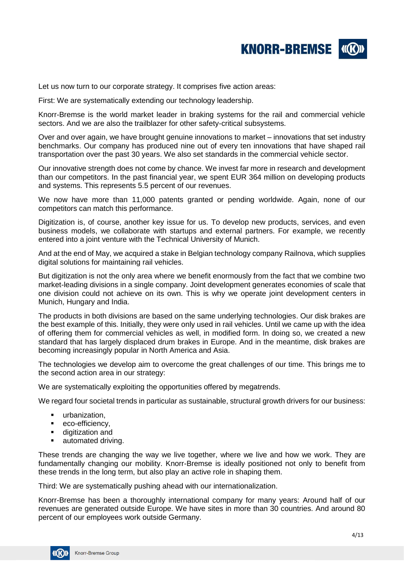

Let us now turn to our corporate strategy. It comprises five action areas:

First: We are systematically extending our technology leadership.

Knorr-Bremse is the world market leader in braking systems for the rail and commercial vehicle sectors. And we are also the trailblazer for other safety-critical subsystems.

Over and over again, we have brought genuine innovations to market – innovations that set industry benchmarks. Our company has produced nine out of every ten innovations that have shaped rail transportation over the past 30 years. We also set standards in the commercial vehicle sector.

Our innovative strength does not come by chance. We invest far more in research and development than our competitors. In the past financial year, we spent EUR 364 million on developing products and systems. This represents 5.5 percent of our revenues.

We now have more than 11,000 patents granted or pending worldwide. Again, none of our competitors can match this performance.

Digitization is, of course, another key issue for us. To develop new products, services, and even business models, we collaborate with startups and external partners. For example, we recently entered into a joint venture with the Technical University of Munich.

And at the end of May, we acquired a stake in Belgian technology company Railnova, which supplies digital solutions for maintaining rail vehicles.

But digitization is not the only area where we benefit enormously from the fact that we combine two market-leading divisions in a single company. Joint development generates economies of scale that one division could not achieve on its own. This is why we operate joint development centers in Munich, Hungary and India.

The products in both divisions are based on the same underlying technologies. Our disk brakes are the best example of this. Initially, they were only used in rail vehicles. Until we came up with the idea of offering them for commercial vehicles as well, in modified form. In doing so, we created a new standard that has largely displaced drum brakes in Europe. And in the meantime, disk brakes are becoming increasingly popular in North America and Asia.

The technologies we develop aim to overcome the great challenges of our time. This brings me to the second action area in our strategy:

We are systematically exploiting the opportunities offered by megatrends.

We regard four societal trends in particular as sustainable, structural growth drivers for our business:

- **■** urbanization.
- eco-efficiency,
- digitization and
- automated driving.

These trends are changing the way we live together, where we live and how we work. They are fundamentally changing our mobility. Knorr-Bremse is ideally positioned not only to benefit from these trends in the long term, but also play an active role in shaping them.

Third: We are systematically pushing ahead with our internationalization.

Knorr-Bremse has been a thoroughly international company for many years: Around half of our revenues are generated outside Europe. We have sites in more than 30 countries. And around 80 percent of our employees work outside Germany.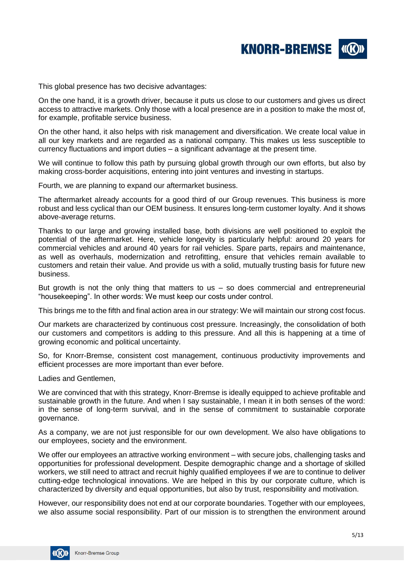

This global presence has two decisive advantages:

On the one hand, it is a growth driver, because it puts us close to our customers and gives us direct access to attractive markets. Only those with a local presence are in a position to make the most of, for example, profitable service business.

On the other hand, it also helps with risk management and diversification. We create local value in all our key markets and are regarded as a national company. This makes us less susceptible to currency fluctuations and import duties – a significant advantage at the present time.

We will continue to follow this path by pursuing global growth through our own efforts, but also by making cross-border acquisitions, entering into joint ventures and investing in startups.

Fourth, we are planning to expand our aftermarket business.

The aftermarket already accounts for a good third of our Group revenues. This business is more robust and less cyclical than our OEM business. It ensures long-term customer loyalty. And it shows above-average returns.

Thanks to our large and growing installed base, both divisions are well positioned to exploit the potential of the aftermarket. Here, vehicle longevity is particularly helpful: around 20 years for commercial vehicles and around 40 years for rail vehicles. Spare parts, repairs and maintenance, as well as overhauls, modernization and retrofitting, ensure that vehicles remain available to customers and retain their value. And provide us with a solid, mutually trusting basis for future new business.

But growth is not the only thing that matters to us  $-$  so does commercial and entrepreneurial "housekeeping". In other words: We must keep our costs under control.

This brings me to the fifth and final action area in our strategy: We will maintain our strong cost focus.

Our markets are characterized by continuous cost pressure. Increasingly, the consolidation of both our customers and competitors is adding to this pressure. And all this is happening at a time of growing economic and political uncertainty.

So, for Knorr-Bremse, consistent cost management, continuous productivity improvements and efficient processes are more important than ever before.

Ladies and Gentlemen,

We are convinced that with this strategy, Knorr-Bremse is ideally equipped to achieve profitable and sustainable growth in the future. And when I say sustainable, I mean it in both senses of the word: in the sense of long-term survival, and in the sense of commitment to sustainable corporate governance.

As a company, we are not just responsible for our own development. We also have obligations to our employees, society and the environment.

We offer our employees an attractive working environment – with secure jobs, challenging tasks and opportunities for professional development. Despite demographic change and a shortage of skilled workers, we still need to attract and recruit highly qualified employees if we are to continue to deliver cutting-edge technological innovations. We are helped in this by our corporate culture, which is characterized by diversity and equal opportunities, but also by trust, responsibility and motivation.

However, our responsibility does not end at our corporate boundaries. Together with our employees, we also assume social responsibility. Part of our mission is to strengthen the environment around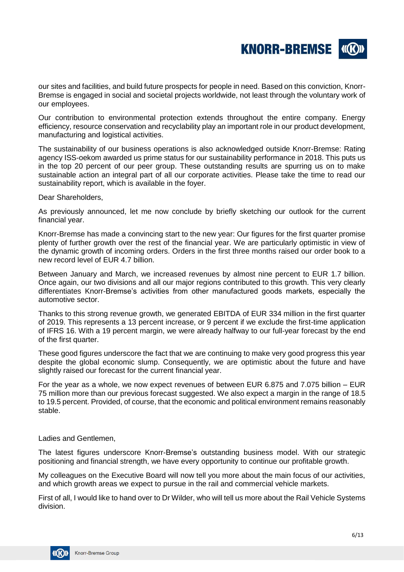

our sites and facilities, and build future prospects for people in need. Based on this conviction, Knorr-Bremse is engaged in social and societal projects worldwide, not least through the voluntary work of our employees.

Our contribution to environmental protection extends throughout the entire company. Energy efficiency, resource conservation and recyclability play an important role in our product development, manufacturing and logistical activities.

The sustainability of our business operations is also acknowledged outside Knorr-Bremse: Rating agency ISS-oekom awarded us prime status for our sustainability performance in 2018. This puts us in the top 20 percent of our peer group. These outstanding results are spurring us on to make sustainable action an integral part of all our corporate activities. Please take the time to read our sustainability report, which is available in the foyer.

Dear Shareholders,

As previously announced, let me now conclude by briefly sketching our outlook for the current financial year.

Knorr-Bremse has made a convincing start to the new year: Our figures for the first quarter promise plenty of further growth over the rest of the financial year. We are particularly optimistic in view of the dynamic growth of incoming orders. Orders in the first three months raised our order book to a new record level of EUR 4.7 billion.

Between January and March, we increased revenues by almost nine percent to EUR 1.7 billion. Once again, our two divisions and all our major regions contributed to this growth. This very clearly differentiates Knorr-Bremse's activities from other manufactured goods markets, especially the automotive sector.

Thanks to this strong revenue growth, we generated EBITDA of EUR 334 million in the first quarter of 2019. This represents a 13 percent increase, or 9 percent if we exclude the first-time application of IFRS 16. With a 19 percent margin, we were already halfway to our full-year forecast by the end of the first quarter.

These good figures underscore the fact that we are continuing to make very good progress this year despite the global economic slump. Consequently, we are optimistic about the future and have slightly raised our forecast for the current financial year.

For the year as a whole, we now expect revenues of between EUR 6.875 and 7.075 billion – EUR 75 million more than our previous forecast suggested. We also expect a margin in the range of 18.5 to 19.5 percent. Provided, of course, that the economic and political environment remains reasonably stable.

Ladies and Gentlemen,

The latest figures underscore Knorr-Bremse's outstanding business model. With our strategic positioning and financial strength, we have every opportunity to continue our profitable growth.

My colleagues on the Executive Board will now tell you more about the main focus of our activities, and which growth areas we expect to pursue in the rail and commercial vehicle markets.

First of all, I would like to hand over to Dr Wilder, who will tell us more about the Rail Vehicle Systems division.

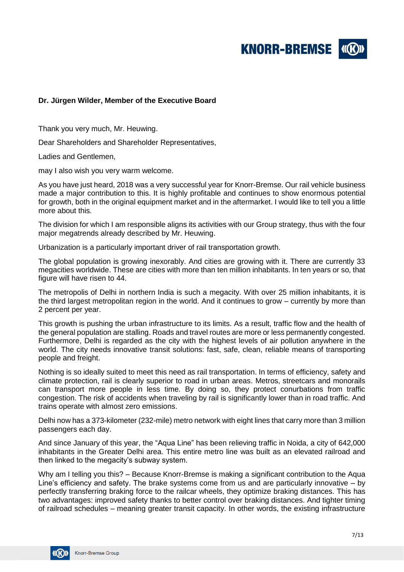

### **Dr. Jürgen Wilder, Member of the Executive Board**

Thank you very much, Mr. Heuwing.

Dear Shareholders and Shareholder Representatives,

Ladies and Gentlemen,

may I also wish you very warm welcome.

As you have just heard, 2018 was a very successful year for Knorr-Bremse. Our rail vehicle business made a major contribution to this. It is highly profitable and continues to show enormous potential for growth, both in the original equipment market and in the aftermarket. I would like to tell you a little more about this.

The division for which I am responsible aligns its activities with our Group strategy, thus with the four major megatrends already described by Mr. Heuwing.

Urbanization is a particularly important driver of rail transportation growth.

The global population is growing inexorably. And cities are growing with it. There are currently 33 megacities worldwide. These are cities with more than ten million inhabitants. In ten years or so, that figure will have risen to 44.

The metropolis of Delhi in northern India is such a megacity. With over 25 million inhabitants, it is the third largest metropolitan region in the world. And it continues to grow – currently by more than 2 percent per year.

This growth is pushing the urban infrastructure to its limits. As a result, traffic flow and the health of the general population are stalling. Roads and travel routes are more or less permanently congested. Furthermore, Delhi is regarded as the city with the highest levels of air pollution anywhere in the world. The city needs innovative transit solutions: fast, safe, clean, reliable means of transporting people and freight.

Nothing is so ideally suited to meet this need as rail transportation. In terms of efficiency, safety and climate protection, rail is clearly superior to road in urban areas. Metros, streetcars and monorails can transport more people in less time. By doing so, they protect conurbations from traffic congestion. The risk of accidents when traveling by rail is significantly lower than in road traffic. And trains operate with almost zero emissions.

Delhi now has a 373-kilometer (232-mile) metro network with eight lines that carry more than 3 million passengers each day.

And since January of this year, the "Aqua Line" has been relieving traffic in Noida, a city of 642,000 inhabitants in the Greater Delhi area. This entire metro line was built as an elevated railroad and then linked to the megacity's subway system.

Why am I telling you this? – Because Knorr-Bremse is making a significant contribution to the Aqua Line's efficiency and safety. The brake systems come from us and are particularly innovative – by perfectly transferring braking force to the railcar wheels, they optimize braking distances. This has two advantages: improved safety thanks to better control over braking distances. And tighter timing of railroad schedules – meaning greater transit capacity. In other words, the existing infrastructure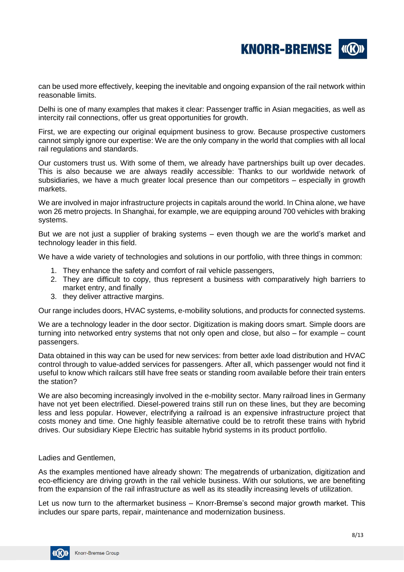

can be used more effectively, keeping the inevitable and ongoing expansion of the rail network within reasonable limits.

Delhi is one of many examples that makes it clear: Passenger traffic in Asian megacities, as well as intercity rail connections, offer us great opportunities for growth.

First, we are expecting our original equipment business to grow. Because prospective customers cannot simply ignore our expertise: We are the only company in the world that complies with all local rail regulations and standards.

Our customers trust us. With some of them, we already have partnerships built up over decades. This is also because we are always readily accessible: Thanks to our worldwide network of subsidiaries, we have a much greater local presence than our competitors – especially in growth markets.

We are involved in major infrastructure projects in capitals around the world. In China alone, we have won 26 metro projects. In Shanghai, for example, we are equipping around 700 vehicles with braking systems.

But we are not just a supplier of braking systems – even though we are the world's market and technology leader in this field.

We have a wide variety of technologies and solutions in our portfolio, with three things in common:

- 1. They enhance the safety and comfort of rail vehicle passengers,
- 2. They are difficult to copy, thus represent a business with comparatively high barriers to market entry, and finally
- 3. they deliver attractive margins.

Our range includes doors, HVAC systems, e-mobility solutions, and products for connected systems.

We are a technology leader in the door sector. Digitization is making doors smart. Simple doors are turning into networked entry systems that not only open and close, but also – for example – count passengers.

Data obtained in this way can be used for new services: from better axle load distribution and HVAC control through to value-added services for passengers. After all, which passenger would not find it useful to know which railcars still have free seats or standing room available before their train enters the station?

We are also becoming increasingly involved in the e-mobility sector. Many railroad lines in Germany have not yet been electrified. Diesel-powered trains still run on these lines, but they are becoming less and less popular. However, electrifying a railroad is an expensive infrastructure project that costs money and time. One highly feasible alternative could be to retrofit these trains with hybrid drives. Our subsidiary Kiepe Electric has suitable hybrid systems in its product portfolio.

Ladies and Gentlemen,

As the examples mentioned have already shown: The megatrends of urbanization, digitization and eco-efficiency are driving growth in the rail vehicle business. With our solutions, we are benefiting from the expansion of the rail infrastructure as well as its steadily increasing levels of utilization.

Let us now turn to the aftermarket business – Knorr-Bremse's second major growth market. This includes our spare parts, repair, maintenance and modernization business.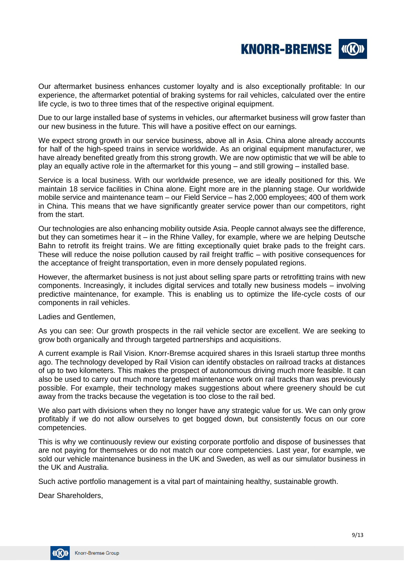

Our aftermarket business enhances customer loyalty and is also exceptionally profitable: In our experience, the aftermarket potential of braking systems for rail vehicles, calculated over the entire life cycle, is two to three times that of the respective original equipment.

Due to our large installed base of systems in vehicles, our aftermarket business will grow faster than our new business in the future. This will have a positive effect on our earnings.

We expect strong growth in our service business, above all in Asia. China alone already accounts for half of the high-speed trains in service worldwide. As an original equipment manufacturer, we have already benefited greatly from this strong growth. We are now optimistic that we will be able to play an equally active role in the aftermarket for this young – and still growing – installed base.

Service is a local business. With our worldwide presence, we are ideally positioned for this. We maintain 18 service facilities in China alone. Eight more are in the planning stage. Our worldwide mobile service and maintenance team – our Field Service – has 2,000 employees; 400 of them work in China. This means that we have significantly greater service power than our competitors, right from the start.

Our technologies are also enhancing mobility outside Asia. People cannot always see the difference, but they can sometimes hear it – in the Rhine Valley, for example, where we are helping Deutsche Bahn to retrofit its freight trains. We are fitting exceptionally quiet brake pads to the freight cars. These will reduce the noise pollution caused by rail freight traffic – with positive consequences for the acceptance of freight transportation, even in more densely populated regions.

However, the aftermarket business is not just about selling spare parts or retrofitting trains with new components. Increasingly, it includes digital services and totally new business models – involving predictive maintenance, for example. This is enabling us to optimize the life-cycle costs of our components in rail vehicles.

Ladies and Gentlemen,

As you can see: Our growth prospects in the rail vehicle sector are excellent. We are seeking to grow both organically and through targeted partnerships and acquisitions.

A current example is Rail Vision. Knorr-Bremse acquired shares in this Israeli startup three months ago. The technology developed by Rail Vision can identify obstacles on railroad tracks at distances of up to two kilometers. This makes the prospect of autonomous driving much more feasible. It can also be used to carry out much more targeted maintenance work on rail tracks than was previously possible. For example, their technology makes suggestions about where greenery should be cut away from the tracks because the vegetation is too close to the rail bed.

We also part with divisions when they no longer have any strategic value for us. We can only grow profitably if we do not allow ourselves to get bogged down, but consistently focus on our core competencies.

This is why we continuously review our existing corporate portfolio and dispose of businesses that are not paying for themselves or do not match our core competencies. Last year, for example, we sold our vehicle maintenance business in the UK and Sweden, as well as our simulator business in the UK and Australia.

Such active portfolio management is a vital part of maintaining healthy, sustainable growth.

Dear Shareholders,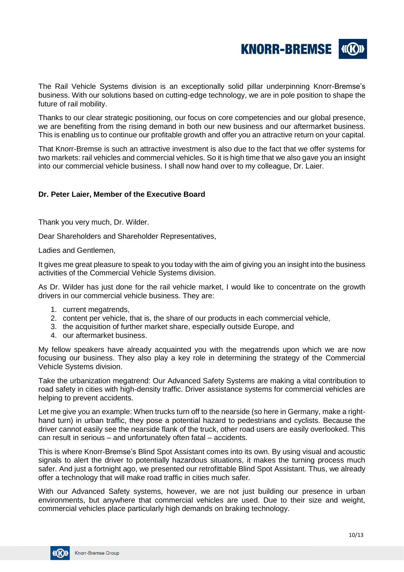

The Rail Vehicle Systems division is an exceptionally solid pillar underpinning Knorr-Bremse's business. With our solutions based on cutting-edge technology, we are in pole position to shape the future of rail mobility.

Thanks to our clear strategic positioning, our focus on core competencies and our global presence, we are benefiting from the rising demand in both our new business and our aftermarket business. This is enabling us to continue our profitable growth and offer you an attractive return on your capital.

That Knorr-Bremse is such an attractive investment is also due to the fact that we offer systems for two markets: rail vehicles and commercial vehicles. So it is high time that we also gave you an insight into our commercial vehicle business. I shall now hand over to my colleague, Dr. Laier.

### **Dr. Peter Laier, Member of the Executive Board**

Thank you very much, Dr. Wilder.

Dear Shareholders and Shareholder Representatives,

Ladies and Gentlemen,

It gives me great pleasure to speak to you today with the aim of giving you an insight into the business activities of the Commercial Vehicle Systems division.

As Dr. Wilder has just done for the rail vehicle market, I would like to concentrate on the growth drivers in our commercial vehicle business. They are:

- 1. current megatrends,
- 2. content per vehicle, that is, the share of our products in each commercial vehicle,
- 3. the acquisition of further market share, especially outside Europe, and
- 4. our aftermarket business.

My fellow speakers have already acquainted you with the megatrends upon which we are now focusing our business. They also play a key role in determining the strategy of the Commercial Vehicle Systems division.

Take the urbanization megatrend: Our Advanced Safety Systems are making a vital contribution to road safety in cities with high-density traffic. Driver assistance systems for commercial vehicles are helping to prevent accidents.

Let me give you an example: When trucks turn off to the nearside (so here in Germany, make a righthand turn) in urban traffic, they pose a potential hazard to pedestrians and cyclists. Because the driver cannot easily see the nearside flank of the truck, other road users are easily overlooked. This can result in serious – and unfortunately often fatal – accidents.

This is where Knorr-Bremse's Blind Spot Assistant comes into its own. By using visual and acoustic signals to alert the driver to potentially hazardous situations, it makes the turning process much safer. And just a fortnight ago, we presented our retrofittable Blind Spot Assistant. Thus, we already offer a technology that will make road traffic in cities much safer.

With our Advanced Safety systems, however, we are not just building our presence in urban environments, but anywhere that commercial vehicles are used. Due to their size and weight, commercial vehicles place particularly high demands on braking technology.

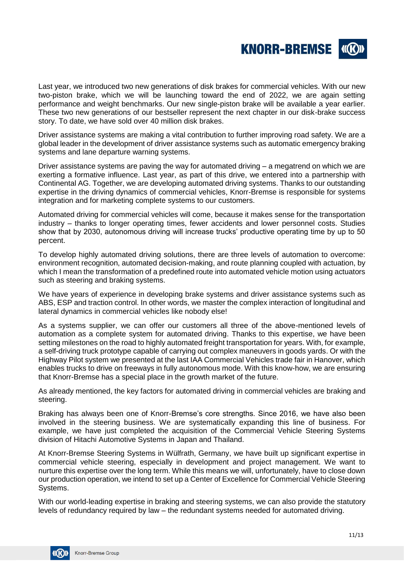

Last year, we introduced two new generations of disk brakes for commercial vehicles. With our new two-piston brake, which we will be launching toward the end of 2022, we are again setting performance and weight benchmarks. Our new single-piston brake will be available a year earlier. These two new generations of our bestseller represent the next chapter in our disk-brake success story. To date, we have sold over 40 million disk brakes.

Driver assistance systems are making a vital contribution to further improving road safety. We are a global leader in the development of driver assistance systems such as automatic emergency braking systems and lane departure warning systems.

Driver assistance systems are paving the way for automated driving – a megatrend on which we are exerting a formative influence. Last year, as part of this drive, we entered into a partnership with Continental AG. Together, we are developing automated driving systems. Thanks to our outstanding expertise in the driving dynamics of commercial vehicles, Knorr-Bremse is responsible for systems integration and for marketing complete systems to our customers.

Automated driving for commercial vehicles will come, because it makes sense for the transportation industry – thanks to longer operating times, fewer accidents and lower personnel costs. Studies show that by 2030, autonomous driving will increase trucks' productive operating time by up to 50 percent.

To develop highly automated driving solutions, there are three levels of automation to overcome: environment recognition, automated decision-making, and route planning coupled with actuation, by which I mean the transformation of a predefined route into automated vehicle motion using actuators such as steering and braking systems.

We have years of experience in developing brake systems and driver assistance systems such as ABS, ESP and traction control. In other words, we master the complex interaction of longitudinal and lateral dynamics in commercial vehicles like nobody else!

As a systems supplier, we can offer our customers all three of the above-mentioned levels of automation as a complete system for automated driving. Thanks to this expertise, we have been setting milestones on the road to highly automated freight transportation for years. With, for example, a self-driving truck prototype capable of carrying out complex maneuvers in goods yards. Or with the Highway Pilot system we presented at the last IAA Commercial Vehicles trade fair in Hanover, which enables trucks to drive on freeways in fully autonomous mode. With this know-how, we are ensuring that Knorr-Bremse has a special place in the growth market of the future.

As already mentioned, the key factors for automated driving in commercial vehicles are braking and steering.

Braking has always been one of Knorr-Bremse's core strengths. Since 2016, we have also been involved in the steering business. We are systematically expanding this line of business. For example, we have just completed the acquisition of the Commercial Vehicle Steering Systems division of Hitachi Automotive Systems in Japan and Thailand.

At Knorr-Bremse Steering Systems in Wülfrath, Germany, we have built up significant expertise in commercial vehicle steering, especially in development and project management. We want to nurture this expertise over the long term. While this means we will, unfortunately, have to close down our production operation, we intend to set up a Center of Excellence for Commercial Vehicle Steering Systems.

With our world-leading expertise in braking and steering systems, we can also provide the statutory levels of redundancy required by law – the redundant systems needed for automated driving.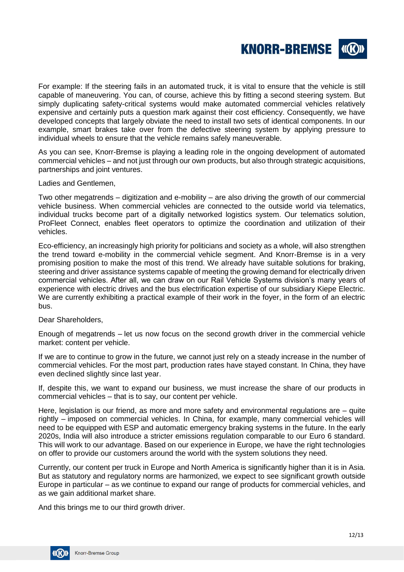

For example: If the steering fails in an automated truck, it is vital to ensure that the vehicle is still capable of maneuvering. You can, of course, achieve this by fitting a second steering system. But simply duplicating safety-critical systems would make automated commercial vehicles relatively expensive and certainly puts a question mark against their cost efficiency. Consequently, we have developed concepts that largely obviate the need to install two sets of identical components. In our example, smart brakes take over from the defective steering system by applying pressure to individual wheels to ensure that the vehicle remains safely maneuverable.

As you can see, Knorr-Bremse is playing a leading role in the ongoing development of automated commercial vehicles – and not just through our own products, but also through strategic acquisitions, partnerships and joint ventures.

Ladies and Gentlemen,

Two other megatrends – digitization and e-mobility – are also driving the growth of our commercial vehicle business. When commercial vehicles are connected to the outside world via telematics, individual trucks become part of a digitally networked logistics system. Our telematics solution, ProFleet Connect, enables fleet operators to optimize the coordination and utilization of their vehicles.

Eco-efficiency, an increasingly high priority for politicians and society as a whole, will also strengthen the trend toward e-mobility in the commercial vehicle segment. And Knorr-Bremse is in a very promising position to make the most of this trend. We already have suitable solutions for braking, steering and driver assistance systems capable of meeting the growing demand for electrically driven commercial vehicles. After all, we can draw on our Rail Vehicle Systems division's many years of experience with electric drives and the bus electrification expertise of our subsidiary Kiepe Electric. We are currently exhibiting a practical example of their work in the foyer, in the form of an electric bus.

Dear Shareholders,

Enough of megatrends – let us now focus on the second growth driver in the commercial vehicle market: content per vehicle.

If we are to continue to grow in the future, we cannot just rely on a steady increase in the number of commercial vehicles. For the most part, production rates have stayed constant. In China, they have even declined slightly since last year.

If, despite this, we want to expand our business, we must increase the share of our products in commercial vehicles – that is to say, our content per vehicle.

Here, legislation is our friend, as more and more safety and environmental regulations are – quite rightly – imposed on commercial vehicles. In China, for example, many commercial vehicles will need to be equipped with ESP and automatic emergency braking systems in the future. In the early 2020s, India will also introduce a stricter emissions regulation comparable to our Euro 6 standard. This will work to our advantage. Based on our experience in Europe, we have the right technologies on offer to provide our customers around the world with the system solutions they need.

Currently, our content per truck in Europe and North America is significantly higher than it is in Asia. But as statutory and regulatory norms are harmonized, we expect to see significant growth outside Europe in particular – as we continue to expand our range of products for commercial vehicles, and as we gain additional market share.

And this brings me to our third growth driver.